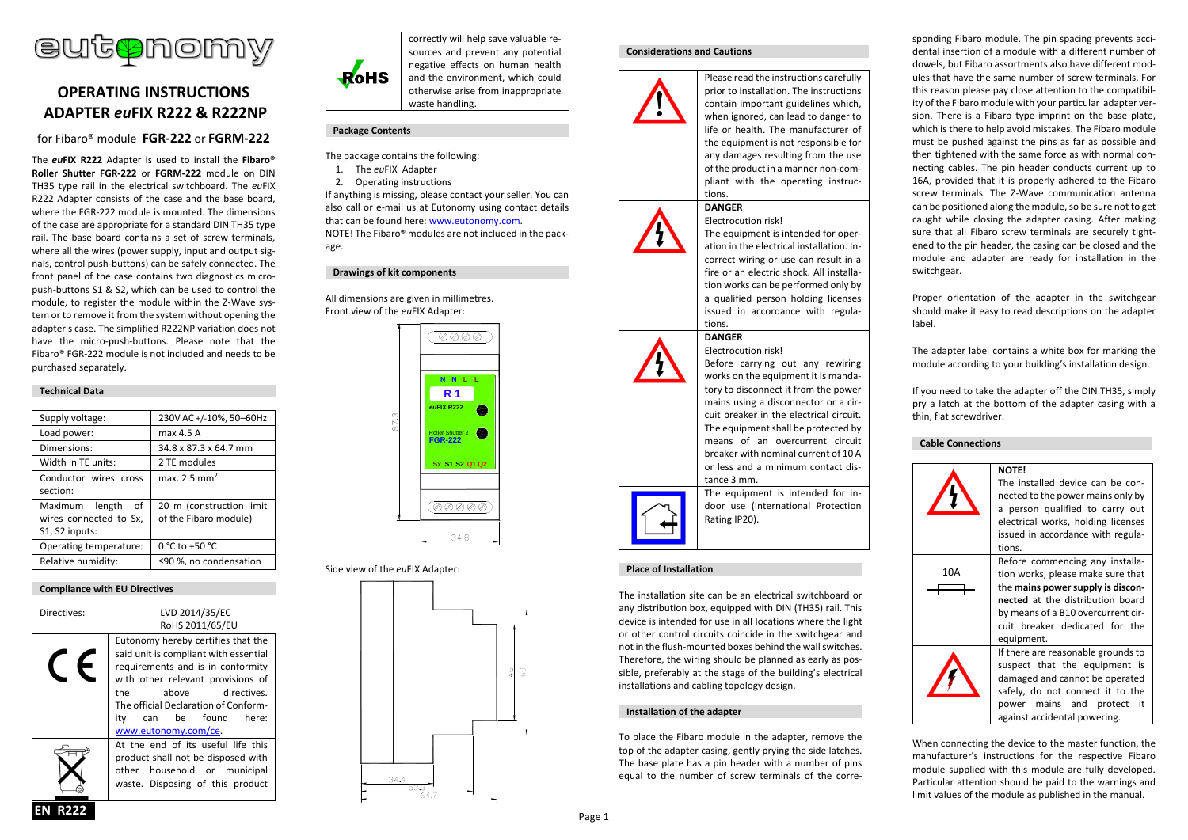

# **OPERATING INSTRUCTIONS ADAPTER** *eu***FIX R222 & R222NP**

# for Fibaro® module **FGR-222** or **FGRM-222**

The *eu***FIX R222** Adapter is used to install the **Fibaro® Roller Shutter FGR-222** or **FGRM-222** module on DIN TH35 type rail in the electrical switchboard. The *eu*FIX R222 Adapter consists of the case and the base board, where the FGR-222 module is mounted. The dimensions of the case are appropriate for a standard DIN TH35 type rail. The base board contains a set of screw terminals, where all the wires (power supply, input and output signals, control push-buttons) can be safely connected. The front panel of the case contains two diagnostics micropush-buttons S1 & S2, which can be used to control the module, to register the module within the Z-Wave system or to remove it from the system without opening the adapter's case. The simplified R222NP variation does not have the micro-push-buttons. Please note that the Fibaro® FGR-222 module is not included and needs to be purchased separately.

# **Technical Data**

| Supply voltage:        | 230V AC+/-10%, 50-60Hz   |
|------------------------|--------------------------|
| Load power:            | max 4.5 A                |
| Dimensions:            | 34.8 x 87.3 x 64.7 mm    |
| Width in TE units:     | 2 TE modules             |
| Conductor wires cross  | max. 2.5 mm <sup>2</sup> |
| section:               |                          |
| Maximum length<br>of   | 20 m (construction limit |
| wires connected to Sx, | of the Fibaro module)    |
| S1, S2 inputs:         |                          |
| Operating temperature: | 0 °C to +50 °C           |
| Relative humidity:     | ≤90 %, no condensation   |

# **Compliance with EU Directives**

| Directives: | LVD 2014/35/EC<br>RoHS 2011/65/EU                                                                                                                                                                                                                                                    |  |
|-------------|--------------------------------------------------------------------------------------------------------------------------------------------------------------------------------------------------------------------------------------------------------------------------------------|--|
|             | Eutonomy hereby certifies that the<br>said unit is compliant with essential<br>requirements and is in conformity<br>with other relevant provisions of<br>the<br>directives.<br>above<br>The official Declaration of Conform-<br>can be found<br>here:<br>itv<br>www.eutonomy.com/ce. |  |
|             | At the end of its useful life this<br>product shall not be disposed with<br>other household or municipal<br>waste. Disposing of this product                                                                                                                                         |  |



correctly will help save valuable resources and prevent any potential negative effects on human health and the environment, which could otherwise arise from inappropriate waste handling.

# **Package Contents**

- The package contains the following:
- 1. The *eu*FIX Adapter
- 2. Operating instructions

If anything is missing, please contact your seller. You can also call or e-mail us at Eutonomy using contact details that can be found here: [www.eutonomy.com.](http://www.eutonomy.com/) NOTE! The Fibaro® modules are not included in the package.

# **Drawings of kit components**

All dimensions are given in millimetres. Front view of the *eu*FIX Adapter:



# Side view of the *eu*FIX Adapter:



### **Considerations and Cautions**



prior to installation. The instructions contain important guidelines which, when ignored, can lead to danger to life or health. The manufacturer of the equipment is not responsible for any damages resulting from the use of the product in a manner non-compliant with the operating instructions.

Please read the instructions carefully

# Electrocution risk!

**DANGER**

The equipment is intended for operation in the electrical installation. Incorrect wiring or use can result in a fire or an electric shock. All installation works can be performed only by a qualified person holding licenses issued in accordance with regulations.

Before carrying out any rewiring works on the equipment it is mandatory to disconnect it from the power mains using a disconnector or a circuit breaker in the electrical circuit. The equipment shall be protected by means of an overcurrent circuit breaker with nominal current of 10 A or less and a minimum contact dis-

The equipment is intended for indoor use (International Protection

### **DANGER** Electrocution risk!



# **Place of Installation**

The installation site can be an electrical switchboard or any distribution box, equipped with DIN (TH35) rail. This device is intended for use in all locations where the light or other control circuits coincide in the switchgear and not in the flush-mounted boxes behind the wall switches. Therefore, the wiring should be planned as early as possible, preferably at the stage of the building's electrical installations and cabling topology design.

tance 3 mm.

Rating IP20).

### **Installation of the adapter**

To place the Fibaro module in the adapter, remove the top of the adapter casing, gently prying the side latches. The base plate has a pin header with a number of pins equal to the number of screw terminals of the corresponding Fibaro module. The pin spacing prevents accidental insertion of a module with a different number of dowels, but Fibaro assortments also have different modules that have the same number of screw terminals. For this reason please pay close attention to the compatibility of the Fibaro module with your particular adapter version. There is a Fibaro type imprint on the base plate, which is there to help avoid mistakes. The Fibaro module must be pushed against the pins as far as possible and then tightened with the same force as with normal connecting cables. The pin header conducts current up to 16A, provided that it is properly adhered to the Fibaro screw terminals. The Z-Wave communication antenna can be positioned along the module, so be sure not to get caught while closing the adapter casing. After making sure that all Fibaro screw terminals are securely tightened to the pin header, the casing can be closed and the module and adapter are ready for installation in the switchgear.

Proper orientation of the adapter in the switchgear should make it easy to read descriptions on the adapter label.

The adapter label contains a white box for marking the module according to your building's installation design.

If you need to take the adapter off the DIN TH35, simply pry a latch at the bottom of the adapter casing with a thin, flat screwdriver.

# **Cable Connections**



When connecting the device to the master function, the manufacturer's instructions for the respective Fibaro module supplied with this module are fully developed. Particular attention should be paid to the warnings and limit values of the module as published in the manual.